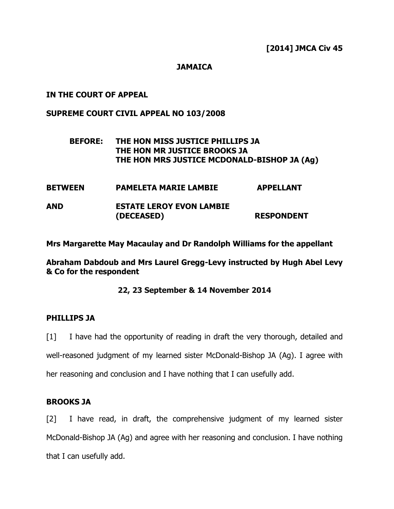## **JAMAICA**

## IN THE COURT OF APPEAL

## SUPREME COURT CIVIL APPEAL NO 103/2008

# BEFORE: THE HON MISS JUSTICE PHILLIPS JA THE HON MR JUSTICE BROOKS JA THE HON MRS JUSTICE MCDONALD-BISHOP JA (Ag)

| <b>BETWEEN</b> | <b>PAMELETA MARIE LAMBIE</b>    | <b>APPELLANT</b>  |
|----------------|---------------------------------|-------------------|
| <b>AND</b>     | <b>ESTATE LEROY EVON LAMBIE</b> |                   |
|                | (DECEASED)                      | <b>RESPONDENT</b> |

Mrs Margarette May Macaulay and Dr Randolph Williams for the appellant

Abraham Dabdoub and Mrs Laurel Gregg-Levy instructed by Hugh Abel Levy & Co for the respondent

## 22, 23 September & 14 November 2014

### PHILLIPS JA

[1] I have had the opportunity of reading in draft the very thorough, detailed and well-reasoned judgment of my learned sister McDonald-Bishop JA (Ag). I agree with her reasoning and conclusion and I have nothing that I can usefully add.

### BROOKS JA

[2] I have read, in draft, the comprehensive judgment of my learned sister McDonald-Bishop JA (Ag) and agree with her reasoning and conclusion. I have nothing that I can usefully add.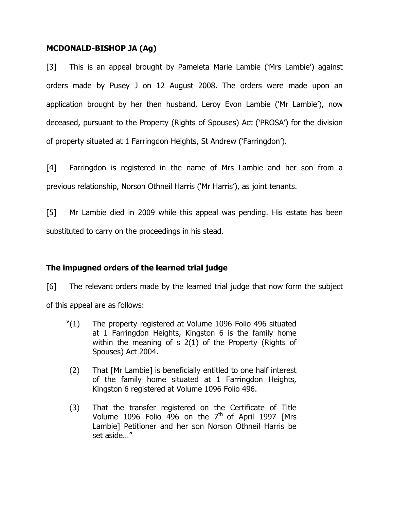## MCDONALD-BISHOP JA (Ag)

[3] This is an appeal brought by Pameleta Marie Lambie ('Mrs Lambie') against orders made by Pusey J on 12 August 2008. The orders were made upon an application brought by her then husband, Leroy Evon Lambie ('Mr Lambie'), now deceased, pursuant to the Property (Rights of Spouses) Act ('PROSA') for the division of property situated at 1 Farringdon Heights, St Andrew ('Farringdon').

[4] Farringdon is registered in the name of Mrs Lambie and her son from a previous relationship, Norson Othneil Harris ('Mr Harris'), as joint tenants.

[5] Mr Lambie died in 2009 while this appeal was pending. His estate has been substituted to carry on the proceedings in his stead.

# The impugned orders of the learned trial judge

[6] The relevant orders made by the learned trial judge that now form the subject of this appeal are as follows:

- "(1) The property registered at Volume 1096 Folio 496 situated at 1 Farringdon Heights, Kingston 6 is the family home within the meaning of s 2(1) of the Property (Rights of Spouses) Act 2004.
- (2) That [Mr Lambie] is beneficially entitled to one half interest of the family home situated at 1 Farringdon Heights, Kingston 6 registered at Volume 1096 Folio 496.
- (3) That the transfer registered on the Certificate of Title Volume 1096 Folio 496 on the  $7<sup>th</sup>$  of April 1997 [Mrs Lambie] Petitioner and her son Norson Othneil Harris be set aside…"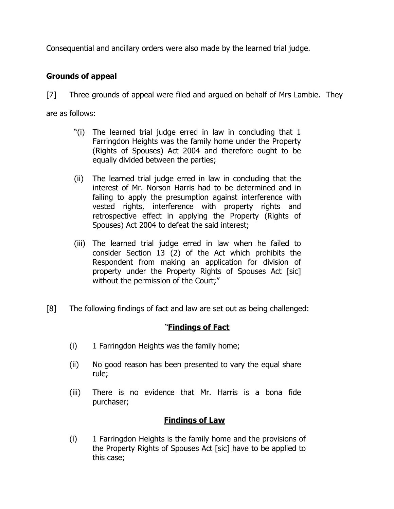Consequential and ancillary orders were also made by the learned trial judge.

# Grounds of appeal

[7] Three grounds of appeal were filed and argued on behalf of Mrs Lambie. They are as follows:

- "(i) The learned trial judge erred in law in concluding that 1 Farringdon Heights was the family home under the Property (Rights of Spouses) Act 2004 and therefore ought to be equally divided between the parties;
- (ii) The learned trial judge erred in law in concluding that the interest of Mr. Norson Harris had to be determined and in failing to apply the presumption against interference with vested rights, interference with property rights and retrospective effect in applying the Property (Rights of Spouses) Act 2004 to defeat the said interest;
- (iii) The learned trial judge erred in law when he failed to consider Section 13 (2) of the Act which prohibits the Respondent from making an application for division of property under the Property Rights of Spouses Act [sic] without the permission of the Court;"
- [8] The following findings of fact and law are set out as being challenged:

# "Findings of Fact

- (i) 1 Farringdon Heights was the family home;
- (ii) No good reason has been presented to vary the equal share rule;
- (iii) There is no evidence that Mr. Harris is a bona fide purchaser;

# Findings of Law

(i) 1 Farringdon Heights is the family home and the provisions of the Property Rights of Spouses Act [sic] have to be applied to this case;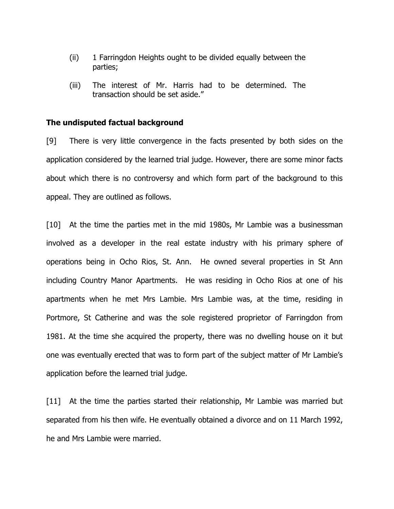- (ii) 1 Farringdon Heights ought to be divided equally between the parties;
- (iii) The interest of Mr. Harris had to be determined. The transaction should be set aside."

### The undisputed factual background

[9] There is very little convergence in the facts presented by both sides on the application considered by the learned trial judge. However, there are some minor facts about which there is no controversy and which form part of the background to this appeal. They are outlined as follows.

[10] At the time the parties met in the mid 1980s, Mr Lambie was a businessman involved as a developer in the real estate industry with his primary sphere of operations being in Ocho Rios, St. Ann. He owned several properties in St Ann including Country Manor Apartments. He was residing in Ocho Rios at one of his apartments when he met Mrs Lambie. Mrs Lambie was, at the time, residing in Portmore, St Catherine and was the sole registered proprietor of Farringdon from 1981. At the time she acquired the property, there was no dwelling house on it but one was eventually erected that was to form part of the subject matter of Mr Lambie's application before the learned trial judge.

[11] At the time the parties started their relationship, Mr Lambie was married but separated from his then wife. He eventually obtained a divorce and on 11 March 1992, he and Mrs Lambie were married.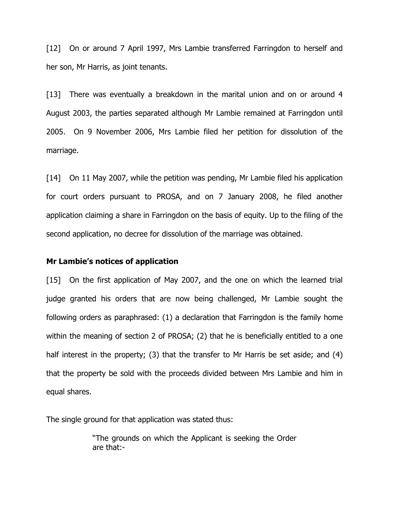[12] On or around 7 April 1997, Mrs Lambie transferred Farringdon to herself and her son, Mr Harris, as joint tenants.

[13] There was eventually a breakdown in the marital union and on or around 4 August 2003, the parties separated although Mr Lambie remained at Farringdon until 2005. On 9 November 2006, Mrs Lambie filed her petition for dissolution of the marriage.

[14] On 11 May 2007, while the petition was pending, Mr Lambie filed his application for court orders pursuant to PROSA, and on 7 January 2008, he filed another application claiming a share in Farringdon on the basis of equity. Up to the filing of the second application, no decree for dissolution of the marriage was obtained.

#### Mr Lambie's notices of application

[15] On the first application of May 2007, and the one on which the learned trial judge granted his orders that are now being challenged, Mr Lambie sought the following orders as paraphrased: (1) a declaration that Farringdon is the family home within the meaning of section 2 of PROSA; (2) that he is beneficially entitled to a one half interest in the property; (3) that the transfer to Mr Harris be set aside; and (4) that the property be sold with the proceeds divided between Mrs Lambie and him in equal shares.

The single ground for that application was stated thus:

"The grounds on which the Applicant is seeking the Order are that:-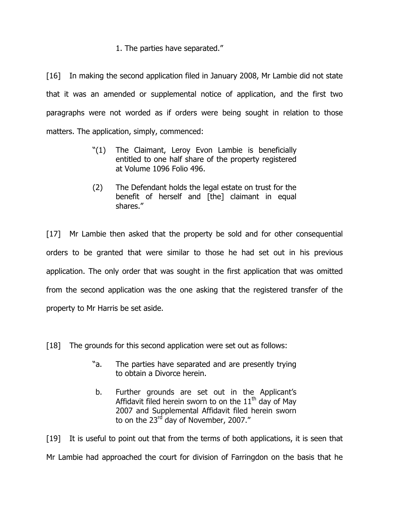# 1. The parties have separated."

[16] In making the second application filed in January 2008, Mr Lambie did not state that it was an amended or supplemental notice of application, and the first two paragraphs were not worded as if orders were being sought in relation to those matters. The application, simply, commenced:

- "(1) The Claimant, Leroy Evon Lambie is beneficially entitled to one half share of the property registered at Volume 1096 Folio 496.
- (2) The Defendant holds the legal estate on trust for the benefit of herself and [the] claimant in equal shares."

[17] Mr Lambie then asked that the property be sold and for other consequential orders to be granted that were similar to those he had set out in his previous application. The only order that was sought in the first application that was omitted from the second application was the one asking that the registered transfer of the property to Mr Harris be set aside.

- [18] The grounds for this second application were set out as follows:
	- "a. The parties have separated and are presently trying to obtain a Divorce herein.
	- b. Further grounds are set out in the Applicant's Affidavit filed herein sworn to on the  $11<sup>th</sup>$  day of May 2007 and Supplemental Affidavit filed herein sworn to on the 23 $^{\rm rd}$  day of November, 2007."

[19] It is useful to point out that from the terms of both applications, it is seen that Mr Lambie had approached the court for division of Farringdon on the basis that he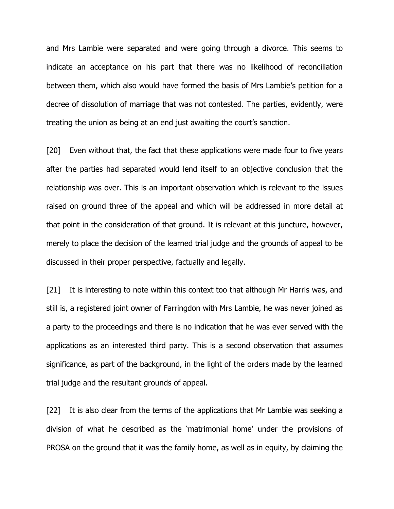and Mrs Lambie were separated and were going through a divorce. This seems to indicate an acceptance on his part that there was no likelihood of reconciliation between them, which also would have formed the basis of Mrs Lambie's petition for a decree of dissolution of marriage that was not contested. The parties, evidently, were treating the union as being at an end just awaiting the court's sanction.

[20] Even without that, the fact that these applications were made four to five years after the parties had separated would lend itself to an objective conclusion that the relationship was over. This is an important observation which is relevant to the issues raised on ground three of the appeal and which will be addressed in more detail at that point in the consideration of that ground. It is relevant at this juncture, however, merely to place the decision of the learned trial judge and the grounds of appeal to be discussed in their proper perspective, factually and legally.

[21] It is interesting to note within this context too that although Mr Harris was, and still is, a registered joint owner of Farringdon with Mrs Lambie, he was never joined as a party to the proceedings and there is no indication that he was ever served with the applications as an interested third party. This is a second observation that assumes significance, as part of the background, in the light of the orders made by the learned trial judge and the resultant grounds of appeal.

[22] It is also clear from the terms of the applications that Mr Lambie was seeking a division of what he described as the 'matrimonial home' under the provisions of PROSA on the ground that it was the family home, as well as in equity, by claiming the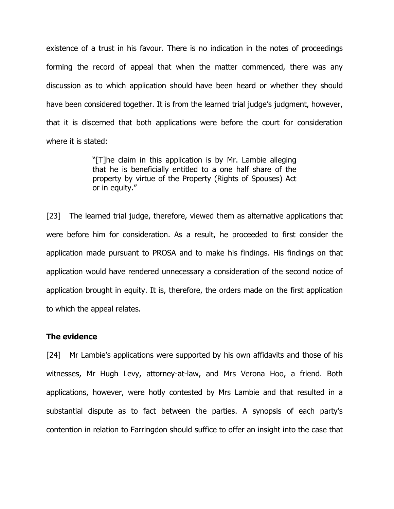existence of a trust in his favour. There is no indication in the notes of proceedings forming the record of appeal that when the matter commenced, there was any discussion as to which application should have been heard or whether they should have been considered together. It is from the learned trial judge's judgment, however, that it is discerned that both applications were before the court for consideration where it is stated:

> "[T]he claim in this application is by Mr. Lambie alleging that he is beneficially entitled to a one half share of the property by virtue of the Property (Rights of Spouses) Act or in equity."

[23] The learned trial judge, therefore, viewed them as alternative applications that were before him for consideration. As a result, he proceeded to first consider the application made pursuant to PROSA and to make his findings. His findings on that application would have rendered unnecessary a consideration of the second notice of application brought in equity. It is, therefore, the orders made on the first application to which the appeal relates.

## The evidence

[24] Mr Lambie's applications were supported by his own affidavits and those of his witnesses, Mr Hugh Levy, attorney-at-law, and Mrs Verona Hoo, a friend. Both applications, however, were hotly contested by Mrs Lambie and that resulted in a substantial dispute as to fact between the parties. A synopsis of each party's contention in relation to Farringdon should suffice to offer an insight into the case that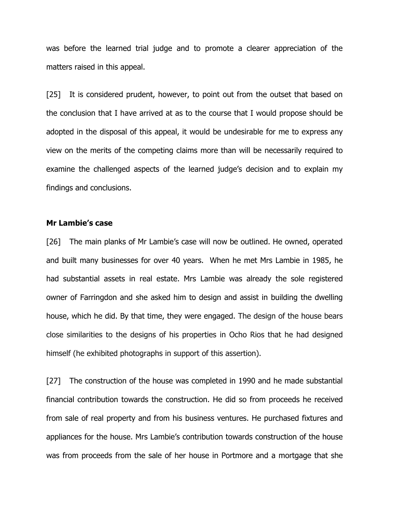was before the learned trial judge and to promote a clearer appreciation of the matters raised in this appeal.

[25] It is considered prudent, however, to point out from the outset that based on the conclusion that I have arrived at as to the course that I would propose should be adopted in the disposal of this appeal, it would be undesirable for me to express any view on the merits of the competing claims more than will be necessarily required to examine the challenged aspects of the learned judge's decision and to explain my findings and conclusions.

### Mr Lambie's case

[26] The main planks of Mr Lambie's case will now be outlined. He owned, operated and built many businesses for over 40 years. When he met Mrs Lambie in 1985, he had substantial assets in real estate. Mrs Lambie was already the sole registered owner of Farringdon and she asked him to design and assist in building the dwelling house, which he did. By that time, they were engaged. The design of the house bears close similarities to the designs of his properties in Ocho Rios that he had designed himself (he exhibited photographs in support of this assertion).

[27] The construction of the house was completed in 1990 and he made substantial financial contribution towards the construction. He did so from proceeds he received from sale of real property and from his business ventures. He purchased fixtures and appliances for the house. Mrs Lambie's contribution towards construction of the house was from proceeds from the sale of her house in Portmore and a mortgage that she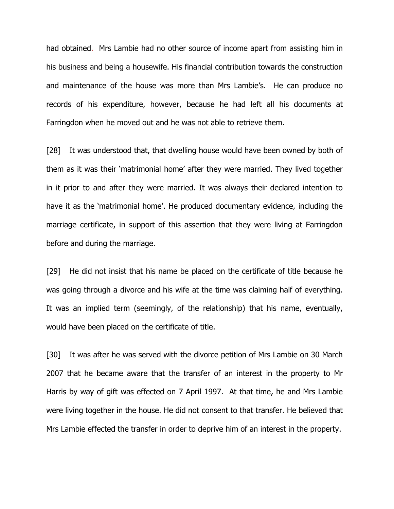had obtained. Mrs Lambie had no other source of income apart from assisting him in his business and being a housewife. His financial contribution towards the construction and maintenance of the house was more than Mrs Lambie's. He can produce no records of his expenditure, however, because he had left all his documents at Farringdon when he moved out and he was not able to retrieve them.

[28] It was understood that, that dwelling house would have been owned by both of them as it was their 'matrimonial home' after they were married. They lived together in it prior to and after they were married. It was always their declared intention to have it as the 'matrimonial home'. He produced documentary evidence, including the marriage certificate, in support of this assertion that they were living at Farringdon before and during the marriage.

[29] He did not insist that his name be placed on the certificate of title because he was going through a divorce and his wife at the time was claiming half of everything. It was an implied term (seemingly, of the relationship) that his name, eventually, would have been placed on the certificate of title.

[30] It was after he was served with the divorce petition of Mrs Lambie on 30 March 2007 that he became aware that the transfer of an interest in the property to Mr Harris by way of gift was effected on 7 April 1997. At that time, he and Mrs Lambie were living together in the house. He did not consent to that transfer. He believed that Mrs Lambie effected the transfer in order to deprive him of an interest in the property.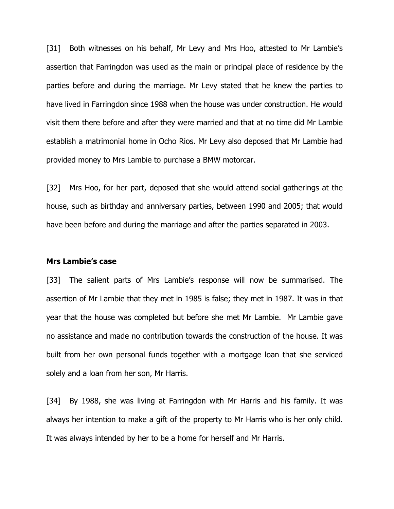[31] Both witnesses on his behalf, Mr Levy and Mrs Hoo, attested to Mr Lambie's assertion that Farringdon was used as the main or principal place of residence by the parties before and during the marriage. Mr Levy stated that he knew the parties to have lived in Farringdon since 1988 when the house was under construction. He would visit them there before and after they were married and that at no time did Mr Lambie establish a matrimonial home in Ocho Rios. Mr Levy also deposed that Mr Lambie had provided money to Mrs Lambie to purchase a BMW motorcar.

[32] Mrs Hoo, for her part, deposed that she would attend social gatherings at the house, such as birthday and anniversary parties, between 1990 and 2005; that would have been before and during the marriage and after the parties separated in 2003.

#### Mrs Lambie's case

[33] The salient parts of Mrs Lambie's response will now be summarised. The assertion of Mr Lambie that they met in 1985 is false; they met in 1987. It was in that year that the house was completed but before she met Mr Lambie. Mr Lambie gave no assistance and made no contribution towards the construction of the house. It was built from her own personal funds together with a mortgage loan that she serviced solely and a loan from her son, Mr Harris.

[34] By 1988, she was living at Farringdon with Mr Harris and his family. It was always her intention to make a gift of the property to Mr Harris who is her only child. It was always intended by her to be a home for herself and Mr Harris.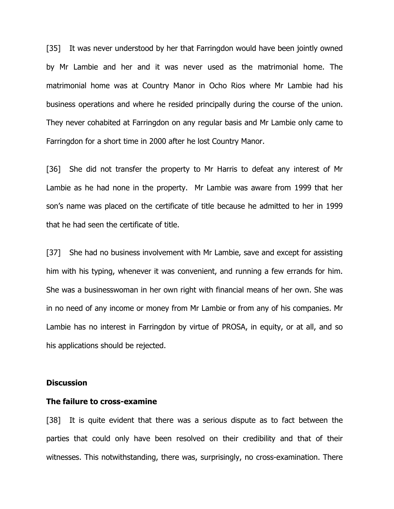[35] It was never understood by her that Farringdon would have been jointly owned by Mr Lambie and her and it was never used as the matrimonial home. The matrimonial home was at Country Manor in Ocho Rios where Mr Lambie had his business operations and where he resided principally during the course of the union. They never cohabited at Farringdon on any regular basis and Mr Lambie only came to Farringdon for a short time in 2000 after he lost Country Manor.

[36] She did not transfer the property to Mr Harris to defeat any interest of Mr Lambie as he had none in the property. Mr Lambie was aware from 1999 that her son's name was placed on the certificate of title because he admitted to her in 1999 that he had seen the certificate of title.

[37] She had no business involvement with Mr Lambie, save and except for assisting him with his typing, whenever it was convenient, and running a few errands for him. She was a businesswoman in her own right with financial means of her own. She was in no need of any income or money from Mr Lambie or from any of his companies. Mr Lambie has no interest in Farringdon by virtue of PROSA, in equity, or at all, and so his applications should be rejected.

#### **Discussion**

#### The failure to cross-examine

[38] It is quite evident that there was a serious dispute as to fact between the parties that could only have been resolved on their credibility and that of their witnesses. This notwithstanding, there was, surprisingly, no cross-examination. There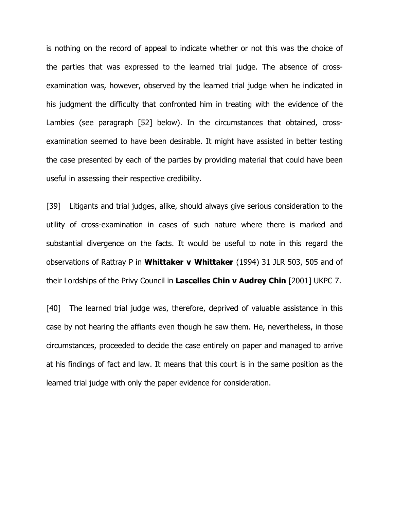is nothing on the record of appeal to indicate whether or not this was the choice of the parties that was expressed to the learned trial judge. The absence of crossexamination was, however, observed by the learned trial judge when he indicated in his judgment the difficulty that confronted him in treating with the evidence of the Lambies (see paragraph [52] below). In the circumstances that obtained, crossexamination seemed to have been desirable. It might have assisted in better testing the case presented by each of the parties by providing material that could have been useful in assessing their respective credibility.

[39] Litigants and trial judges, alike, should always give serious consideration to the utility of cross-examination in cases of such nature where there is marked and substantial divergence on the facts. It would be useful to note in this regard the observations of Rattray P in Whittaker v Whittaker (1994) 31 JLR 503, 505 and of their Lordships of the Privy Council in Lascelles Chin v Audrey Chin [2001] UKPC 7.

[40] The learned trial judge was, therefore, deprived of valuable assistance in this case by not hearing the affiants even though he saw them. He, nevertheless, in those circumstances, proceeded to decide the case entirely on paper and managed to arrive at his findings of fact and law. It means that this court is in the same position as the learned trial judge with only the paper evidence for consideration.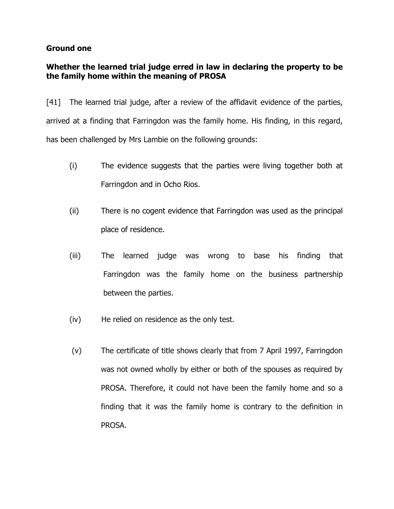# Ground one

# Whether the learned trial judge erred in law in declaring the property to be the family home within the meaning of PROSA

[41] The learned trial judge, after a review of the affidavit evidence of the parties, arrived at a finding that Farringdon was the family home. His finding, in this regard, has been challenged by Mrs Lambie on the following grounds:

- (i) The evidence suggests that the parties were living together both at Farringdon and in Ocho Rios.
- (ii) There is no cogent evidence that Farringdon was used as the principal place of residence.
- (iii) The learned judge was wrong to base his finding that Farringdon was the family home on the business partnership between the parties.
- (iv) He relied on residence as the only test.
- (v) The certificate of title shows clearly that from 7 April 1997, Farringdon was not owned wholly by either or both of the spouses as required by PROSA. Therefore, it could not have been the family home and so a finding that it was the family home is contrary to the definition in PROSA.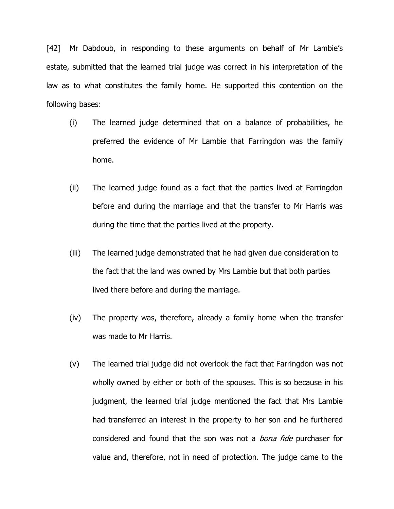[42] Mr Dabdoub, in responding to these arguments on behalf of Mr Lambie's estate, submitted that the learned trial judge was correct in his interpretation of the law as to what constitutes the family home. He supported this contention on the following bases:

- (i) The learned judge determined that on a balance of probabilities, he preferred the evidence of Mr Lambie that Farringdon was the family home.
- (ii) The learned judge found as a fact that the parties lived at Farringdon before and during the marriage and that the transfer to Mr Harris was during the time that the parties lived at the property.
- (iii) The learned judge demonstrated that he had given due consideration to the fact that the land was owned by Mrs Lambie but that both parties lived there before and during the marriage.
- (iv) The property was, therefore, already a family home when the transfer was made to Mr Harris.
- (v) The learned trial judge did not overlook the fact that Farringdon was not wholly owned by either or both of the spouses. This is so because in his judgment, the learned trial judge mentioned the fact that Mrs Lambie had transferred an interest in the property to her son and he furthered considered and found that the son was not a *bona fide* purchaser for value and, therefore, not in need of protection. The judge came to the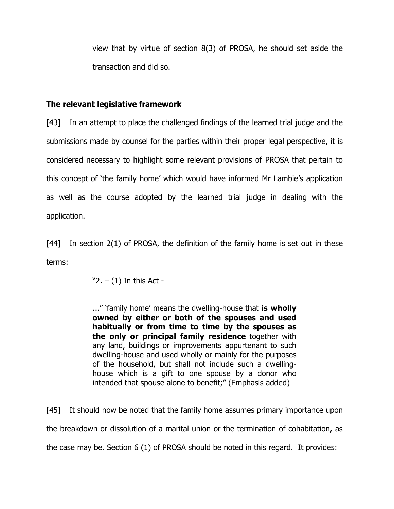view that by virtue of section 8(3) of PROSA, he should set aside the transaction and did so.

# The relevant legislative framework

[43] In an attempt to place the challenged findings of the learned trial judge and the submissions made by counsel for the parties within their proper legal perspective, it is considered necessary to highlight some relevant provisions of PROSA that pertain to this concept of 'the family home' which would have informed Mr Lambie's application as well as the course adopted by the learned trial judge in dealing with the application.

[44] In section 2(1) of PROSA, the definition of the family home is set out in these terms:

 $"2. - (1)$  In this Act -

..." 'family home' means the dwelling-house that is wholly owned by either or both of the spouses and used habitually or from time to time by the spouses as the only or principal family residence together with any land, buildings or improvements appurtenant to such dwelling-house and used wholly or mainly for the purposes of the household, but shall not include such a dwellinghouse which is a gift to one spouse by a donor who intended that spouse alone to benefit;" (Emphasis added)

[45] It should now be noted that the family home assumes primary importance upon the breakdown or dissolution of a marital union or the termination of cohabitation, as the case may be. Section 6 (1) of PROSA should be noted in this regard. It provides: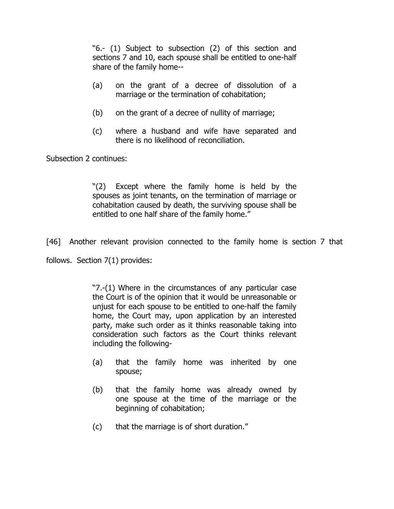"6.- (1) Subject to subsection (2) of this section and sections 7 and 10, each spouse shall be entitled to one-half share of the family home--

- (a) on the grant of a decree of dissolution of a marriage or the termination of cohabitation;
- (b) on the grant of a decree of nullity of marriage;
- (c) where a husband and wife have separated and there is no likelihood of reconciliation.

Subsection 2 continues:

"(2) Except where the family home is held by the spouses as joint tenants, on the termination of marriage or cohabitation caused by death, the surviving spouse shall be entitled to one half share of the family home."

[46] Another relevant provision connected to the family home is section 7 that

follows. Section 7(1) provides:

"7.-(1) Where in the circumstances of any particular case the Court is of the opinion that it would be unreasonable or unjust for each spouse to be entitled to one-half the family home, the Court may, upon application by an interested party, make such order as it thinks reasonable taking into consideration such factors as the Court thinks relevant including the following-

- (a) that the family home was inherited by one spouse;
- (b) that the family home was already owned by one spouse at the time of the marriage or the beginning of cohabitation;
- (c) that the marriage is of short duration."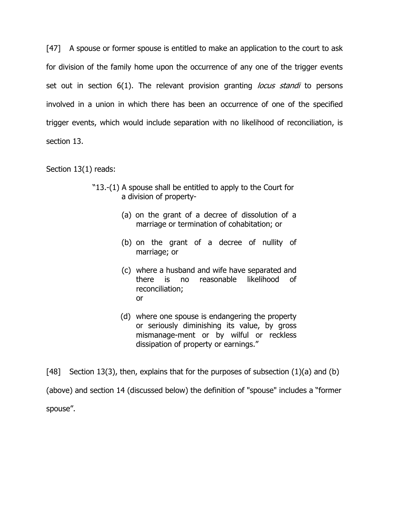[47] A spouse or former spouse is entitled to make an application to the court to ask for division of the family home upon the occurrence of any one of the trigger events set out in section 6(1). The relevant provision granting *locus standi* to persons involved in a union in which there has been an occurrence of one of the specified trigger events, which would include separation with no likelihood of reconciliation, is section 13.

Section 13(1) reads:

- "13.-(1) A spouse shall be entitled to apply to the Court for a division of property-
	- (a) on the grant of a decree of dissolution of a marriage or termination of cohabitation; or
	- (b) on the grant of a decree of nullity of marriage; or
	- (c) where a husband and wife have separated and there is no reasonable likelihood of reconciliation; or
	- (d) where one spouse is endangering the property or seriously diminishing its value, by gross mismanage-ment or by wilful or reckless dissipation of property or earnings."

[48] Section 13(3), then, explains that for the purposes of subsection  $(1)(a)$  and  $(b)$ (above) and section 14 (discussed below) the definition of "spouse" includes a "former spouse".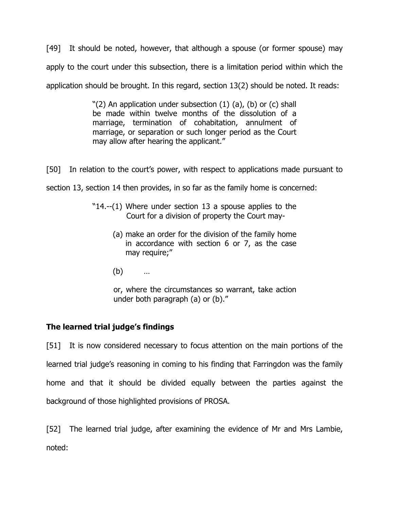[49] It should be noted, however, that although a spouse (or former spouse) may apply to the court under this subsection, there is a limitation period within which the application should be brought. In this regard, section 13(2) should be noted. It reads:

> "(2) An application under subsection (1) (a), (b) or (c) shall be made within twelve months of the dissolution of a marriage, termination of cohabitation, annulment of marriage, or separation or such longer period as the Court may allow after hearing the applicant."

[50] In relation to the court's power, with respect to applications made pursuant to section 13, section 14 then provides, in so far as the family home is concerned:

- "14.--(1) Where under section 13 a spouse applies to the Court for a division of property the Court may-
	- (a) make an order for the division of the family home in accordance with section 6 or 7, as the case may require;"
	- (b) …

or, where the circumstances so warrant, take action under both paragraph (a) or (b)."

# The learned trial judge's findings

[51] It is now considered necessary to focus attention on the main portions of the learned trial judge's reasoning in coming to his finding that Farringdon was the family home and that it should be divided equally between the parties against the background of those highlighted provisions of PROSA.

[52] The learned trial judge, after examining the evidence of Mr and Mrs Lambie, noted: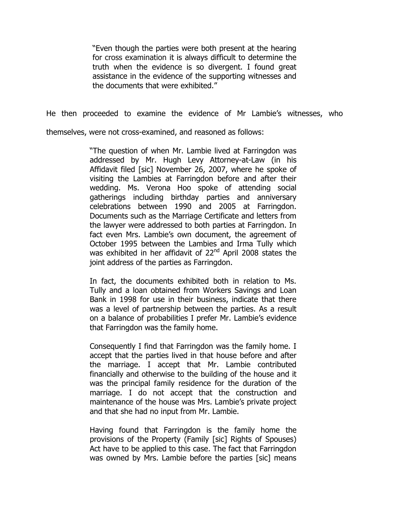"Even though the parties were both present at the hearing for cross examination it is always difficult to determine the truth when the evidence is so divergent. I found great assistance in the evidence of the supporting witnesses and the documents that were exhibited."

He then proceeded to examine the evidence of Mr Lambie's witnesses, who

themselves, were not cross-examined, and reasoned as follows:

"The question of when Mr. Lambie lived at Farringdon was addressed by Mr. Hugh Levy Attorney-at-Law (in his Affidavit filed [sic] November 26, 2007, where he spoke of visiting the Lambies at Farringdon before and after their wedding. Ms. Verona Hoo spoke of attending social gatherings including birthday parties and anniversary celebrations between 1990 and 2005 at Farringdon. Documents such as the Marriage Certificate and letters from the lawyer were addressed to both parties at Farringdon. In fact even Mrs. Lambie's own document, the agreement of October 1995 between the Lambies and Irma Tully which was exhibited in her affidavit of 22<sup>nd</sup> April 2008 states the joint address of the parties as Farringdon.

In fact, the documents exhibited both in relation to Ms. Tully and a loan obtained from Workers Savings and Loan Bank in 1998 for use in their business, indicate that there was a level of partnership between the parties. As a result on a balance of probabilities I prefer Mr. Lambie's evidence that Farringdon was the family home.

Consequently I find that Farringdon was the family home. I accept that the parties lived in that house before and after the marriage. I accept that Mr. Lambie contributed financially and otherwise to the building of the house and it was the principal family residence for the duration of the marriage. I do not accept that the construction and maintenance of the house was Mrs. Lambie's private project and that she had no input from Mr. Lambie.

Having found that Farringdon is the family home the provisions of the Property (Family [sic] Rights of Spouses) Act have to be applied to this case. The fact that Farringdon was owned by Mrs. Lambie before the parties [sic] means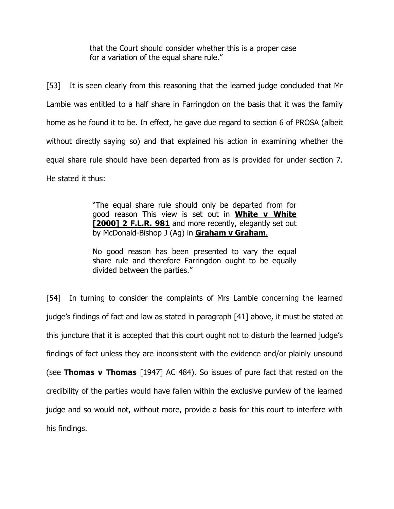that the Court should consider whether this is a proper case for a variation of the equal share rule."

[53] It is seen clearly from this reasoning that the learned judge concluded that Mr Lambie was entitled to a half share in Farringdon on the basis that it was the family home as he found it to be. In effect, he gave due regard to section 6 of PROSA (albeit without directly saying so) and that explained his action in examining whether the equal share rule should have been departed from as is provided for under section 7. He stated it thus:

> "The equal share rule should only be departed from for good reason This view is set out in White v White [2000] 2 F.L.R. 981 and more recently, elegantly set out by McDonald-Bishop J (Ag) in **Graham v Graham.**

> No good reason has been presented to vary the equal share rule and therefore Farringdon ought to be equally divided between the parties."

[54] In turning to consider the complaints of Mrs Lambie concerning the learned judge's findings of fact and law as stated in paragraph [41] above, it must be stated at this juncture that it is accepted that this court ought not to disturb the learned judge's findings of fact unless they are inconsistent with the evidence and/or plainly unsound (see Thomas v Thomas [1947] AC 484). So issues of pure fact that rested on the credibility of the parties would have fallen within the exclusive purview of the learned judge and so would not, without more, provide a basis for this court to interfere with his findings.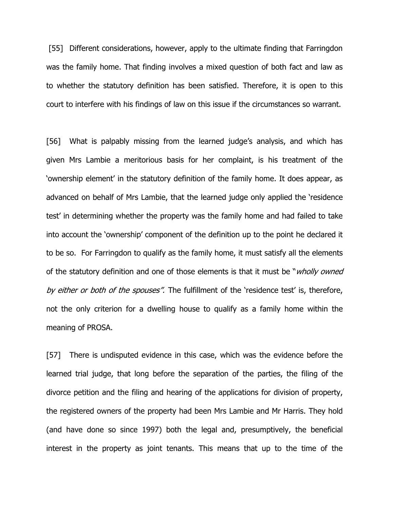[55] Different considerations, however, apply to the ultimate finding that Farringdon was the family home. That finding involves a mixed question of both fact and law as to whether the statutory definition has been satisfied. Therefore, it is open to this court to interfere with his findings of law on this issue if the circumstances so warrant.

[56] What is palpably missing from the learned judge's analysis, and which has given Mrs Lambie a meritorious basis for her complaint, is his treatment of the 'ownership element' in the statutory definition of the family home. It does appear, as advanced on behalf of Mrs Lambie, that the learned judge only applied the 'residence test' in determining whether the property was the family home and had failed to take into account the 'ownership' component of the definition up to the point he declared it to be so. For Farringdon to qualify as the family home, it must satisfy all the elements of the statutory definition and one of those elements is that it must be "*wholly owned* by either or both of the spouses". The fulfillment of the 'residence test' is, therefore, not the only criterion for a dwelling house to qualify as a family home within the meaning of PROSA.

[57] There is undisputed evidence in this case, which was the evidence before the learned trial judge, that long before the separation of the parties, the filing of the divorce petition and the filing and hearing of the applications for division of property, the registered owners of the property had been Mrs Lambie and Mr Harris. They hold (and have done so since 1997) both the legal and, presumptively, the beneficial interest in the property as joint tenants. This means that up to the time of the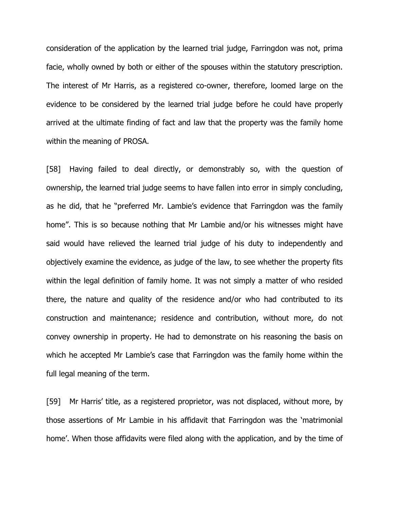consideration of the application by the learned trial judge, Farringdon was not, prima facie, wholly owned by both or either of the spouses within the statutory prescription. The interest of Mr Harris, as a registered co-owner, therefore, loomed large on the evidence to be considered by the learned trial judge before he could have properly arrived at the ultimate finding of fact and law that the property was the family home within the meaning of PROSA.

[58] Having failed to deal directly, or demonstrably so, with the question of ownership, the learned trial judge seems to have fallen into error in simply concluding, as he did, that he "preferred Mr. Lambie's evidence that Farringdon was the family home". This is so because nothing that Mr Lambie and/or his witnesses might have said would have relieved the learned trial judge of his duty to independently and objectively examine the evidence, as judge of the law, to see whether the property fits within the legal definition of family home. It was not simply a matter of who resided there, the nature and quality of the residence and/or who had contributed to its construction and maintenance; residence and contribution, without more, do not convey ownership in property. He had to demonstrate on his reasoning the basis on which he accepted Mr Lambie's case that Farringdon was the family home within the full legal meaning of the term.

[59] Mr Harris' title, as a registered proprietor, was not displaced, without more, by those assertions of Mr Lambie in his affidavit that Farringdon was the 'matrimonial home'. When those affidavits were filed along with the application, and by the time of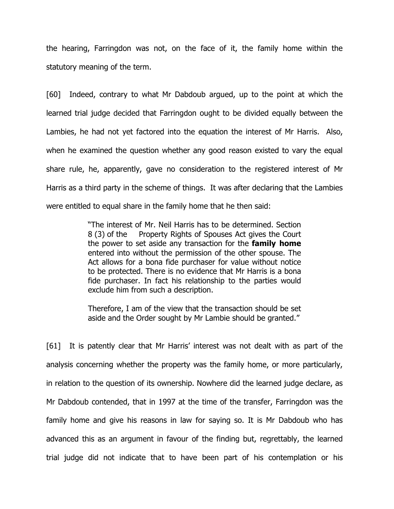the hearing, Farringdon was not, on the face of it, the family home within the statutory meaning of the term.

[60] Indeed, contrary to what Mr Dabdoub argued, up to the point at which the learned trial judge decided that Farringdon ought to be divided equally between the Lambies, he had not yet factored into the equation the interest of Mr Harris. Also, when he examined the question whether any good reason existed to vary the equal share rule, he, apparently, gave no consideration to the registered interest of Mr Harris as a third party in the scheme of things. It was after declaring that the Lambies were entitled to equal share in the family home that he then said:

> "The interest of Mr. Neil Harris has to be determined. Section 8 (3) of the Property Rights of Spouses Act gives the Court the power to set aside any transaction for the **family home** entered into without the permission of the other spouse. The Act allows for a bona fide purchaser for value without notice to be protected. There is no evidence that Mr Harris is a bona fide purchaser. In fact his relationship to the parties would exclude him from such a description.

> Therefore, I am of the view that the transaction should be set aside and the Order sought by Mr Lambie should be granted."

[61] It is patently clear that Mr Harris' interest was not dealt with as part of the analysis concerning whether the property was the family home, or more particularly, in relation to the question of its ownership. Nowhere did the learned judge declare, as Mr Dabdoub contended, that in 1997 at the time of the transfer, Farringdon was the family home and give his reasons in law for saying so. It is Mr Dabdoub who has advanced this as an argument in favour of the finding but, regrettably, the learned trial judge did not indicate that to have been part of his contemplation or his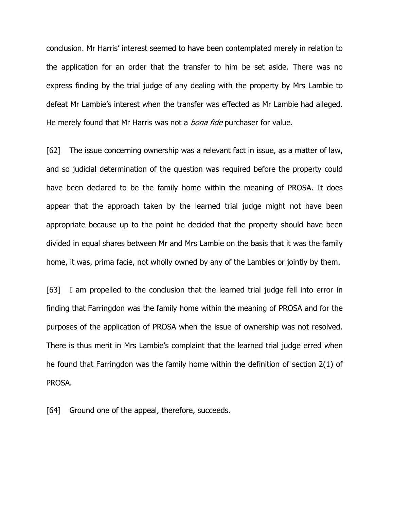conclusion. Mr Harris' interest seemed to have been contemplated merely in relation to the application for an order that the transfer to him be set aside. There was no express finding by the trial judge of any dealing with the property by Mrs Lambie to defeat Mr Lambie's interest when the transfer was effected as Mr Lambie had alleged. He merely found that Mr Harris was not a *bona fide* purchaser for value.

[62] The issue concerning ownership was a relevant fact in issue, as a matter of law, and so judicial determination of the question was required before the property could have been declared to be the family home within the meaning of PROSA. It does appear that the approach taken by the learned trial judge might not have been appropriate because up to the point he decided that the property should have been divided in equal shares between Mr and Mrs Lambie on the basis that it was the family home, it was, prima facie, not wholly owned by any of the Lambies or jointly by them.

[63] I am propelled to the conclusion that the learned trial judge fell into error in finding that Farringdon was the family home within the meaning of PROSA and for the purposes of the application of PROSA when the issue of ownership was not resolved. There is thus merit in Mrs Lambie's complaint that the learned trial judge erred when he found that Farringdon was the family home within the definition of section 2(1) of PROSA.

[64] Ground one of the appeal, therefore, succeeds.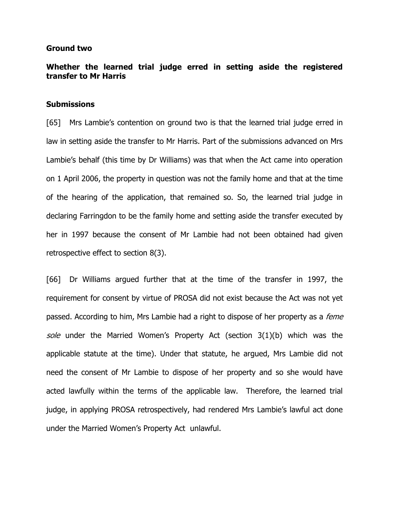#### Ground two

# Whether the learned trial judge erred in setting aside the registered transfer to Mr Harris

#### **Submissions**

[65] Mrs Lambie's contention on ground two is that the learned trial judge erred in law in setting aside the transfer to Mr Harris. Part of the submissions advanced on Mrs Lambie's behalf (this time by Dr Williams) was that when the Act came into operation on 1 April 2006, the property in question was not the family home and that at the time of the hearing of the application, that remained so. So, the learned trial judge in declaring Farringdon to be the family home and setting aside the transfer executed by her in 1997 because the consent of Mr Lambie had not been obtained had given retrospective effect to section 8(3).

[66] Dr Williams argued further that at the time of the transfer in 1997, the requirement for consent by virtue of PROSA did not exist because the Act was not yet passed. According to him, Mrs Lambie had a right to dispose of her property as a *feme* sole under the Married Women's Property Act (section 3(1)(b) which was the applicable statute at the time). Under that statute, he argued, Mrs Lambie did not need the consent of Mr Lambie to dispose of her property and so she would have acted lawfully within the terms of the applicable law. Therefore, the learned trial judge, in applying PROSA retrospectively, had rendered Mrs Lambie's lawful act done under the Married Women's Property Act unlawful.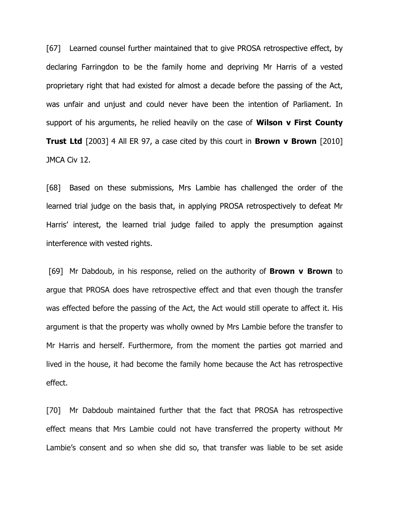[67] Learned counsel further maintained that to give PROSA retrospective effect, by declaring Farringdon to be the family home and depriving Mr Harris of a vested proprietary right that had existed for almost a decade before the passing of the Act, was unfair and unjust and could never have been the intention of Parliament. In support of his arguments, he relied heavily on the case of **Wilson v First County Trust Ltd** [2003] 4 All ER 97, a case cited by this court in **Brown v Brown** [2010] JMCA Civ 12.

[68] Based on these submissions, Mrs Lambie has challenged the order of the learned trial judge on the basis that, in applying PROSA retrospectively to defeat Mr Harris' interest, the learned trial judge failed to apply the presumption against interference with vested rights.

[69] Mr Dabdoub, in his response, relied on the authority of **Brown v Brown** to argue that PROSA does have retrospective effect and that even though the transfer was effected before the passing of the Act, the Act would still operate to affect it. His argument is that the property was wholly owned by Mrs Lambie before the transfer to Mr Harris and herself. Furthermore, from the moment the parties got married and lived in the house, it had become the family home because the Act has retrospective effect.

[70] Mr Dabdoub maintained further that the fact that PROSA has retrospective effect means that Mrs Lambie could not have transferred the property without Mr Lambie's consent and so when she did so, that transfer was liable to be set aside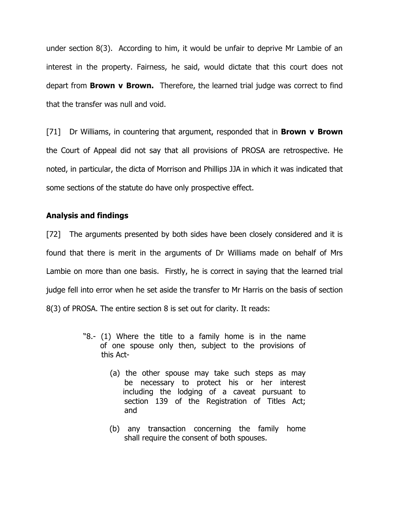under section 8(3). According to him, it would be unfair to deprive Mr Lambie of an interest in the property. Fairness, he said, would dictate that this court does not depart from **Brown v Brown.** Therefore, the learned trial judge was correct to find that the transfer was null and void.

[71] Dr Williams, in countering that argument, responded that in **Brown v Brown** the Court of Appeal did not say that all provisions of PROSA are retrospective. He noted, in particular, the dicta of Morrison and Phillips JJA in which it was indicated that some sections of the statute do have only prospective effect.

## Analysis and findings

[72] The arguments presented by both sides have been closely considered and it is found that there is merit in the arguments of Dr Williams made on behalf of Mrs Lambie on more than one basis. Firstly, he is correct in saying that the learned trial judge fell into error when he set aside the transfer to Mr Harris on the basis of section 8(3) of PROSA. The entire section 8 is set out for clarity. It reads:

- "8.- (1) Where the title to a family home is in the name of one spouse only then, subject to the provisions of this Act-
	- (a) the other spouse may take such steps as may be necessary to protect his or her interest including the lodging of a caveat pursuant to section 139 of the Registration of Titles Act; and
	- (b) any transaction concerning the family home shall require the consent of both spouses.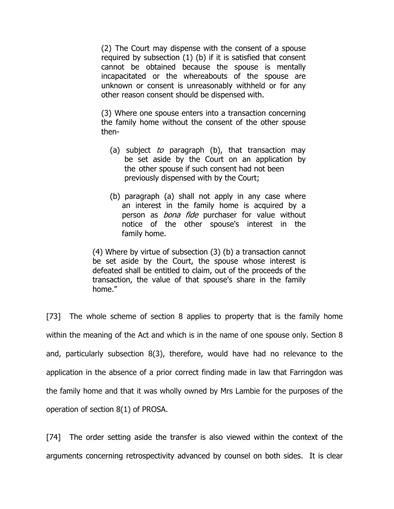(2) The Court may dispense with the consent of a spouse required by subsection (1) (b) if it is satisfied that consent cannot be obtained because the spouse is mentally incapacitated or the whereabouts of the spouse are unknown or consent is unreasonably withheld or for any other reason consent should be dispensed with.

(3) Where one spouse enters into a transaction concerning the family home without the consent of the other spouse then-

- (a) subject to paragraph (b), that transaction may be set aside by the Court on an application by the other spouse if such consent had not been previously dispensed with by the Court;
- (b) paragraph (a) shall not apply in any case where an interest in the family home is acquired by a person as *bona fide* purchaser for value without notice of the other spouse's interest in the family home.

(4) Where by virtue of subsection (3) (b) a transaction cannot be set aside by the Court, the spouse whose interest is defeated shall be entitled to claim, out of the proceeds of the transaction, the value of that spouse's share in the family home."

[73] The whole scheme of section 8 applies to property that is the family home within the meaning of the Act and which is in the name of one spouse only. Section 8 and, particularly subsection 8(3), therefore, would have had no relevance to the application in the absence of a prior correct finding made in law that Farringdon was the family home and that it was wholly owned by Mrs Lambie for the purposes of the operation of section 8(1) of PROSA.

[74] The order setting aside the transfer is also viewed within the context of the arguments concerning retrospectivity advanced by counsel on both sides. It is clear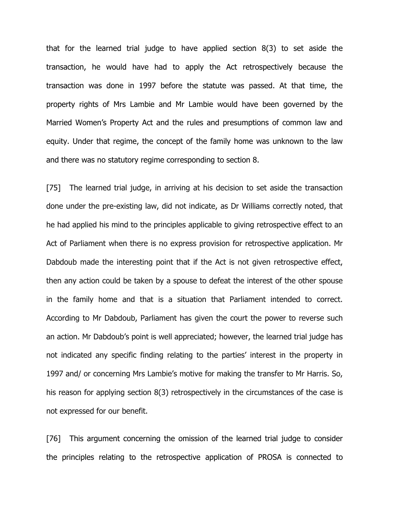that for the learned trial judge to have applied section 8(3) to set aside the transaction, he would have had to apply the Act retrospectively because the transaction was done in 1997 before the statute was passed. At that time, the property rights of Mrs Lambie and Mr Lambie would have been governed by the Married Women's Property Act and the rules and presumptions of common law and equity. Under that regime, the concept of the family home was unknown to the law and there was no statutory regime corresponding to section 8.

[75] The learned trial judge, in arriving at his decision to set aside the transaction done under the pre-existing law, did not indicate, as Dr Williams correctly noted, that he had applied his mind to the principles applicable to giving retrospective effect to an Act of Parliament when there is no express provision for retrospective application. Mr Dabdoub made the interesting point that if the Act is not given retrospective effect, then any action could be taken by a spouse to defeat the interest of the other spouse in the family home and that is a situation that Parliament intended to correct. According to Mr Dabdoub, Parliament has given the court the power to reverse such an action. Mr Dabdoub's point is well appreciated; however, the learned trial judge has not indicated any specific finding relating to the parties' interest in the property in 1997 and/ or concerning Mrs Lambie's motive for making the transfer to Mr Harris. So, his reason for applying section 8(3) retrospectively in the circumstances of the case is not expressed for our benefit.

[76] This argument concerning the omission of the learned trial judge to consider the principles relating to the retrospective application of PROSA is connected to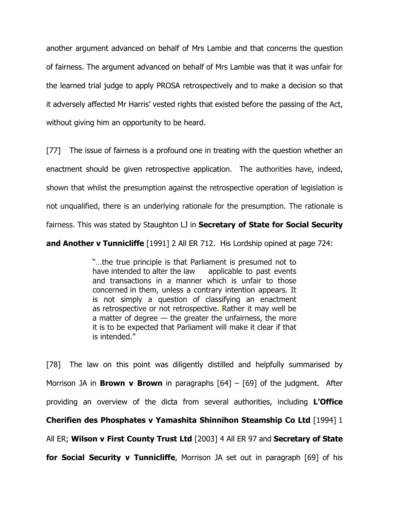another argument advanced on behalf of Mrs Lambie and that concerns the question of fairness. The argument advanced on behalf of Mrs Lambie was that it was unfair for the learned trial judge to apply PROSA retrospectively and to make a decision so that it adversely affected Mr Harris' vested rights that existed before the passing of the Act, without giving him an opportunity to be heard.

[77] The issue of fairness is a profound one in treating with the question whether an enactment should be given retrospective application. The authorities have, indeed, shown that whilst the presumption against the retrospective operation of legislation is not unqualified, there is an underlying rationale for the presumption. The rationale is fairness. This was stated by Staughton  $LJ$  in Secretary of State for Social Security

and Another v Tunnicliffe [1991] 2 All ER 712. His Lordship opined at page 724:

"…the true principle is that Parliament is presumed not to have intended to alter the law applicable to past events and transactions in a manner which is unfair to those concerned in them, unless a contrary intention appears. It is not simply a question of classifying an enactment as retrospective or not retrospective. Rather it may well be a matter of degree — the greater the unfairness, the more it is to be expected that Parliament will make it clear if that is intended."

[78] The law on this point was diligently distilled and helpfully summarised by Morrison JA in **Brown v Brown** in paragraphs  $[64]$  –  $[69]$  of the judgment. After providing an overview of the dicta from several authorities, including L'Office Cherifien des Phosphates v Yamashita Shinnihon Steamship Co Ltd [1994] 1 All ER; Wilson v First County Trust Ltd [2003] 4 All ER 97 and Secretary of State for Social Security v Tunnicliffe, Morrison JA set out in paragraph [69] of his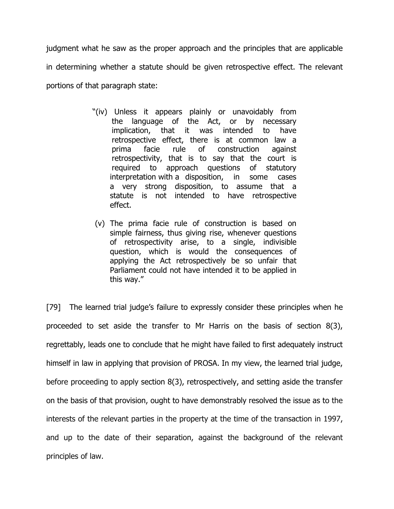judgment what he saw as the proper approach and the principles that are applicable in determining whether a statute should be given retrospective effect. The relevant portions of that paragraph state:

- "(iv) Unless it appears plainly or unavoidably from the language of the Act, or by necessary implication, that it was intended to have retrospective effect, there is at common law a prima facie rule of construction against retrospectivity, that is to say that the court is required to approach questions of statutory interpretation with a disposition, in some cases a very strong disposition, to assume that a statute is not intended to have retrospective effect.
	- (v) The prima facie rule of construction is based on simple fairness, thus giving rise, whenever questions of retrospectivity arise, to a single, indivisible question, which is would the consequences of applying the Act retrospectively be so unfair that Parliament could not have intended it to be applied in this way."

[79] The learned trial judge's failure to expressly consider these principles when he proceeded to set aside the transfer to Mr Harris on the basis of section 8(3), regrettably, leads one to conclude that he might have failed to first adequately instruct himself in law in applying that provision of PROSA. In my view, the learned trial judge, before proceeding to apply section 8(3), retrospectively, and setting aside the transfer on the basis of that provision, ought to have demonstrably resolved the issue as to the interests of the relevant parties in the property at the time of the transaction in 1997, and up to the date of their separation, against the background of the relevant principles of law.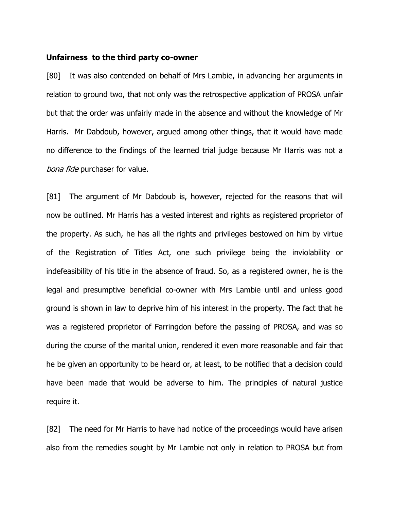#### Unfairness to the third party co-owner

[80] It was also contended on behalf of Mrs Lambie, in advancing her arguments in relation to ground two, that not only was the retrospective application of PROSA unfair but that the order was unfairly made in the absence and without the knowledge of Mr Harris. Mr Dabdoub, however, argued among other things, that it would have made no difference to the findings of the learned trial judge because Mr Harris was not a bona fide purchaser for value.

[81] The argument of Mr Dabdoub is, however, rejected for the reasons that will now be outlined. Mr Harris has a vested interest and rights as registered proprietor of the property. As such, he has all the rights and privileges bestowed on him by virtue of the Registration of Titles Act, one such privilege being the inviolability or indefeasibility of his title in the absence of fraud. So, as a registered owner, he is the legal and presumptive beneficial co-owner with Mrs Lambie until and unless good ground is shown in law to deprive him of his interest in the property. The fact that he was a registered proprietor of Farringdon before the passing of PROSA, and was so during the course of the marital union, rendered it even more reasonable and fair that he be given an opportunity to be heard or, at least, to be notified that a decision could have been made that would be adverse to him. The principles of natural justice require it.

[82] The need for Mr Harris to have had notice of the proceedings would have arisen also from the remedies sought by Mr Lambie not only in relation to PROSA but from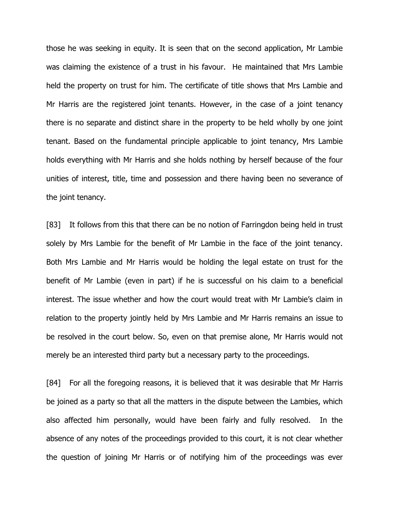those he was seeking in equity. It is seen that on the second application, Mr Lambie was claiming the existence of a trust in his favour. He maintained that Mrs Lambie held the property on trust for him. The certificate of title shows that Mrs Lambie and Mr Harris are the registered joint tenants. However, in the case of a joint tenancy there is no separate and distinct share in the property to be held wholly by one joint tenant. Based on the fundamental principle applicable to joint tenancy, Mrs Lambie holds everything with Mr Harris and she holds nothing by herself because of the four unities of interest, title, time and possession and there having been no severance of the joint tenancy.

[83] It follows from this that there can be no notion of Farringdon being held in trust solely by Mrs Lambie for the benefit of Mr Lambie in the face of the joint tenancy. Both Mrs Lambie and Mr Harris would be holding the legal estate on trust for the benefit of Mr Lambie (even in part) if he is successful on his claim to a beneficial interest. The issue whether and how the court would treat with Mr Lambie's claim in relation to the property jointly held by Mrs Lambie and Mr Harris remains an issue to be resolved in the court below. So, even on that premise alone, Mr Harris would not merely be an interested third party but a necessary party to the proceedings.

[84] For all the foregoing reasons, it is believed that it was desirable that Mr Harris be joined as a party so that all the matters in the dispute between the Lambies, which also affected him personally, would have been fairly and fully resolved. In the absence of any notes of the proceedings provided to this court, it is not clear whether the question of joining Mr Harris or of notifying him of the proceedings was ever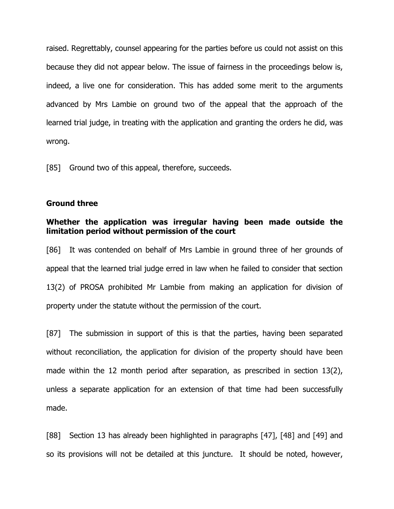raised. Regrettably, counsel appearing for the parties before us could not assist on this because they did not appear below. The issue of fairness in the proceedings below is, indeed, a live one for consideration. This has added some merit to the arguments advanced by Mrs Lambie on ground two of the appeal that the approach of the learned trial judge, in treating with the application and granting the orders he did, was wrong.

[85] Ground two of this appeal, therefore, succeeds.

### Ground three

## Whether the application was irregular having been made outside the limitation period without permission of the court

[86] It was contended on behalf of Mrs Lambie in ground three of her grounds of appeal that the learned trial judge erred in law when he failed to consider that section 13(2) of PROSA prohibited Mr Lambie from making an application for division of property under the statute without the permission of the court.

[87] The submission in support of this is that the parties, having been separated without reconciliation, the application for division of the property should have been made within the 12 month period after separation, as prescribed in section 13(2), unless a separate application for an extension of that time had been successfully made.

[88] Section 13 has already been highlighted in paragraphs [47], [48] and [49] and so its provisions will not be detailed at this juncture. It should be noted, however,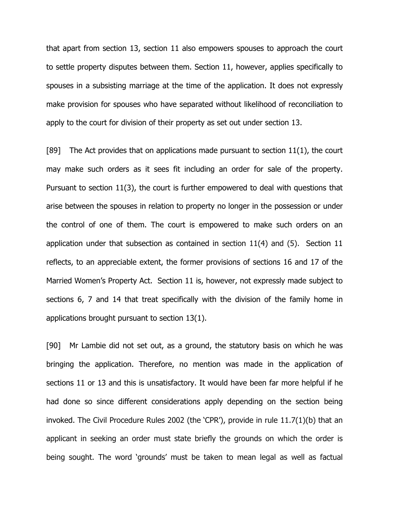that apart from section 13, section 11 also empowers spouses to approach the court to settle property disputes between them. Section 11, however, applies specifically to spouses in a subsisting marriage at the time of the application. It does not expressly make provision for spouses who have separated without likelihood of reconciliation to apply to the court for division of their property as set out under section 13.

[89] The Act provides that on applications made pursuant to section 11(1), the court may make such orders as it sees fit including an order for sale of the property. Pursuant to section 11(3), the court is further empowered to deal with questions that arise between the spouses in relation to property no longer in the possession or under the control of one of them. The court is empowered to make such orders on an application under that subsection as contained in section 11(4) and (5). Section 11 reflects, to an appreciable extent, the former provisions of sections 16 and 17 of the Married Women's Property Act. Section 11 is, however, not expressly made subject to sections 6, 7 and 14 that treat specifically with the division of the family home in applications brought pursuant to section 13(1).

[90] Mr Lambie did not set out, as a ground, the statutory basis on which he was bringing the application. Therefore, no mention was made in the application of sections 11 or 13 and this is unsatisfactory. It would have been far more helpful if he had done so since different considerations apply depending on the section being invoked. The Civil Procedure Rules 2002 (the 'CPR'), provide in rule 11.7(1)(b) that an applicant in seeking an order must state briefly the grounds on which the order is being sought. The word 'grounds' must be taken to mean legal as well as factual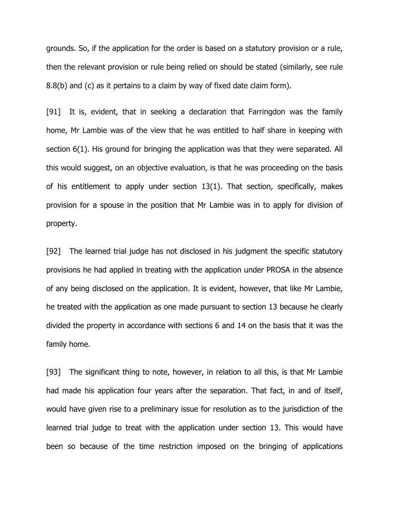grounds. So, if the application for the order is based on a statutory provision or a rule, then the relevant provision or rule being relied on should be stated (similarly, see rule 8.8(b) and (c) as it pertains to a claim by way of fixed date claim form).

[91] It is, evident, that in seeking a declaration that Farringdon was the family home, Mr Lambie was of the view that he was entitled to half share in keeping with section 6(1). His ground for bringing the application was that they were separated. All this would suggest, on an objective evaluation, is that he was proceeding on the basis of his entitlement to apply under section 13(1). That section, specifically, makes provision for a spouse in the position that Mr Lambie was in to apply for division of property.

[92] The learned trial judge has not disclosed in his judgment the specific statutory provisions he had applied in treating with the application under PROSA in the absence of any being disclosed on the application. It is evident, however, that like Mr Lambie, he treated with the application as one made pursuant to section 13 because he clearly divided the property in accordance with sections 6 and 14 on the basis that it was the family home.

[93] The significant thing to note, however, in relation to all this, is that Mr Lambie had made his application four years after the separation. That fact, in and of itself, would have given rise to a preliminary issue for resolution as to the jurisdiction of the learned trial judge to treat with the application under section 13. This would have been so because of the time restriction imposed on the bringing of applications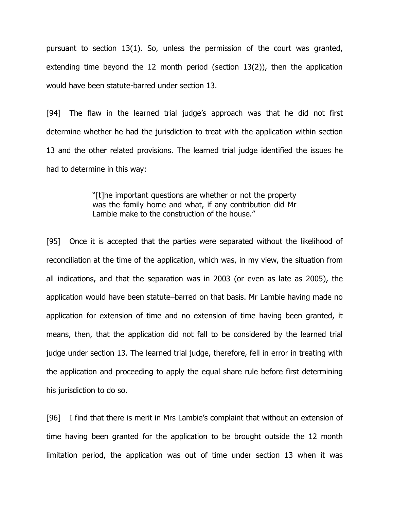pursuant to section 13(1). So, unless the permission of the court was granted, extending time beyond the 12 month period (section 13(2)), then the application would have been statute-barred under section 13.

[94] The flaw in the learned trial judge's approach was that he did not first determine whether he had the jurisdiction to treat with the application within section 13 and the other related provisions. The learned trial judge identified the issues he had to determine in this way:

> "[t]he important questions are whether or not the property was the family home and what, if any contribution did Mr Lambie make to the construction of the house."

[95] Once it is accepted that the parties were separated without the likelihood of reconciliation at the time of the application, which was, in my view, the situation from all indications, and that the separation was in 2003 (or even as late as 2005), the application would have been statute–barred on that basis. Mr Lambie having made no application for extension of time and no extension of time having been granted, it means, then, that the application did not fall to be considered by the learned trial judge under section 13. The learned trial judge, therefore, fell in error in treating with the application and proceeding to apply the equal share rule before first determining his jurisdiction to do so.

[96] I find that there is merit in Mrs Lambie's complaint that without an extension of time having been granted for the application to be brought outside the 12 month limitation period, the application was out of time under section 13 when it was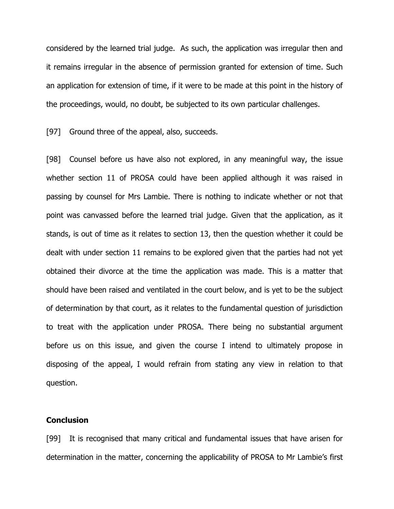considered by the learned trial judge. As such, the application was irregular then and it remains irregular in the absence of permission granted for extension of time. Such an application for extension of time, if it were to be made at this point in the history of the proceedings, would, no doubt, be subjected to its own particular challenges.

[97] Ground three of the appeal, also, succeeds.

[98] Counsel before us have also not explored, in any meaningful way, the issue whether section 11 of PROSA could have been applied although it was raised in passing by counsel for Mrs Lambie. There is nothing to indicate whether or not that point was canvassed before the learned trial judge. Given that the application, as it stands, is out of time as it relates to section 13, then the question whether it could be dealt with under section 11 remains to be explored given that the parties had not yet obtained their divorce at the time the application was made. This is a matter that should have been raised and ventilated in the court below, and is yet to be the subject of determination by that court, as it relates to the fundamental question of jurisdiction to treat with the application under PROSA. There being no substantial argument before us on this issue, and given the course I intend to ultimately propose in disposing of the appeal, I would refrain from stating any view in relation to that question.

### **Conclusion**

[99] It is recognised that many critical and fundamental issues that have arisen for determination in the matter, concerning the applicability of PROSA to Mr Lambie's first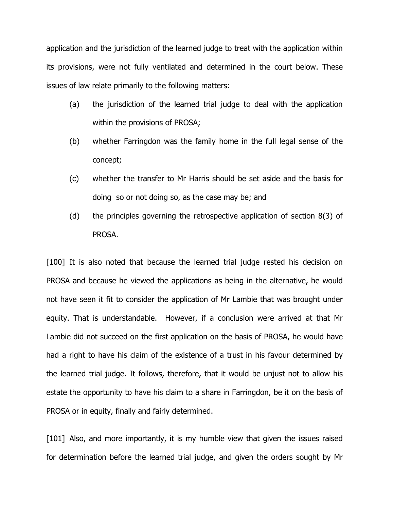application and the jurisdiction of the learned judge to treat with the application within its provisions, were not fully ventilated and determined in the court below. These issues of law relate primarily to the following matters:

- (a) the jurisdiction of the learned trial judge to deal with the application within the provisions of PROSA;
- (b) whether Farringdon was the family home in the full legal sense of the concept;
- (c) whether the transfer to Mr Harris should be set aside and the basis for doing so or not doing so, as the case may be; and
- (d) the principles governing the retrospective application of section 8(3) of PROSA.

[100] It is also noted that because the learned trial judge rested his decision on PROSA and because he viewed the applications as being in the alternative, he would not have seen it fit to consider the application of Mr Lambie that was brought under equity. That is understandable. However, if a conclusion were arrived at that Mr Lambie did not succeed on the first application on the basis of PROSA, he would have had a right to have his claim of the existence of a trust in his favour determined by the learned trial judge. It follows, therefore, that it would be unjust not to allow his estate the opportunity to have his claim to a share in Farringdon, be it on the basis of PROSA or in equity, finally and fairly determined.

[101] Also, and more importantly, it is my humble view that given the issues raised for determination before the learned trial judge, and given the orders sought by Mr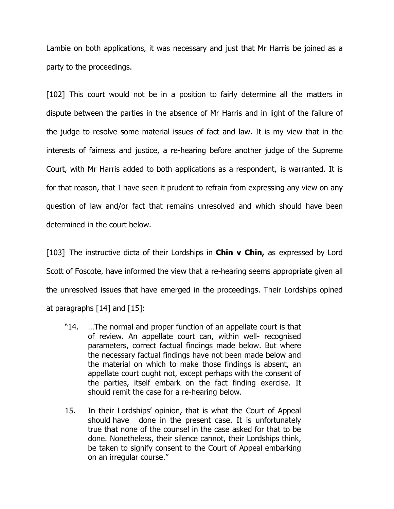Lambie on both applications, it was necessary and just that Mr Harris be joined as a party to the proceedings.

[102] This court would not be in a position to fairly determine all the matters in dispute between the parties in the absence of Mr Harris and in light of the failure of the judge to resolve some material issues of fact and law. It is my view that in the interests of fairness and justice, a re-hearing before another judge of the Supreme Court, with Mr Harris added to both applications as a respondent, is warranted. It is for that reason, that I have seen it prudent to refrain from expressing any view on any question of law and/or fact that remains unresolved and which should have been determined in the court below.

[103] The instructive dicta of their Lordships in **Chin v Chin,** as expressed by Lord Scott of Foscote, have informed the view that a re-hearing seems appropriate given all the unresolved issues that have emerged in the proceedings. Their Lordships opined at paragraphs [14] and [15]:

- "14. …The normal and proper function of an appellate court is that of review. An appellate court can, within well- recognised parameters, correct factual findings made below. But where the necessary factual findings have not been made below and the material on which to make those findings is absent, an appellate court ought not, except perhaps with the consent of the parties, itself embark on the fact finding exercise. It should remit the case for a re-hearing below.
- 15. In their Lordships' opinion, that is what the Court of Appeal should have done in the present case. It is unfortunately true that none of the counsel in the case asked for that to be done. Nonetheless, their silence cannot, their Lordships think, be taken to signify consent to the Court of Appeal embarking on an irregular course."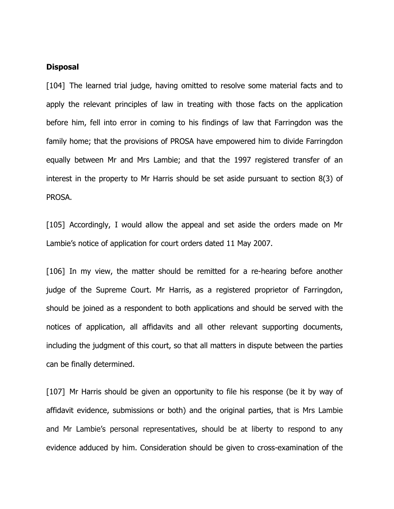#### Disposal

[104] The learned trial judge, having omitted to resolve some material facts and to apply the relevant principles of law in treating with those facts on the application before him, fell into error in coming to his findings of law that Farringdon was the family home; that the provisions of PROSA have empowered him to divide Farringdon equally between Mr and Mrs Lambie; and that the 1997 registered transfer of an interest in the property to Mr Harris should be set aside pursuant to section 8(3) of PROSA.

[105] Accordingly, I would allow the appeal and set aside the orders made on Mr Lambie's notice of application for court orders dated 11 May 2007.

[106] In my view, the matter should be remitted for a re-hearing before another judge of the Supreme Court. Mr Harris, as a registered proprietor of Farringdon, should be joined as a respondent to both applications and should be served with the notices of application, all affidavits and all other relevant supporting documents, including the judgment of this court, so that all matters in dispute between the parties can be finally determined.

[107] Mr Harris should be given an opportunity to file his response (be it by way of affidavit evidence, submissions or both) and the original parties, that is Mrs Lambie and Mr Lambie's personal representatives, should be at liberty to respond to any evidence adduced by him. Consideration should be given to cross-examination of the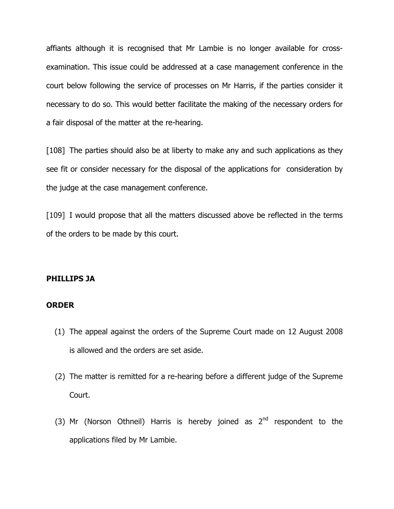affiants although it is recognised that Mr Lambie is no longer available for crossexamination. This issue could be addressed at a case management conference in the court below following the service of processes on Mr Harris, if the parties consider it necessary to do so. This would better facilitate the making of the necessary orders for a fair disposal of the matter at the re-hearing.

[108] The parties should also be at liberty to make any and such applications as they see fit or consider necessary for the disposal of the applications for consideration by the judge at the case management conference.

[109] I would propose that all the matters discussed above be reflected in the terms of the orders to be made by this court.

### PHILLIPS JA

## ORDER

- (1) The appeal against the orders of the Supreme Court made on 12 August 2008 is allowed and the orders are set aside.
- (2) The matter is remitted for a re-hearing before a different judge of the Supreme Court.
- (3) Mr (Norson Othneil) Harris is hereby joined as  $2<sup>nd</sup>$  respondent to the applications filed by Mr Lambie.